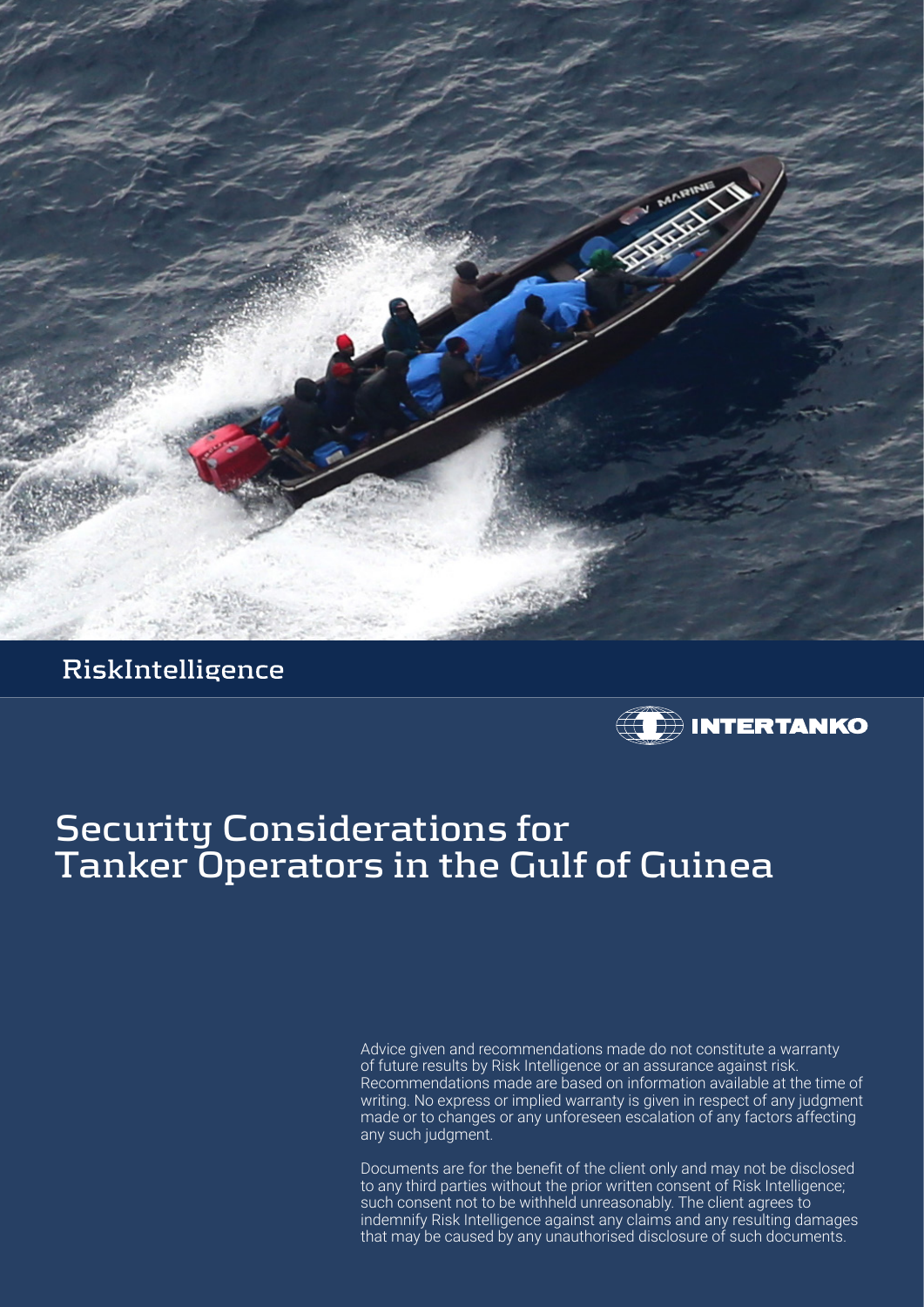



# **Security Considerations for Tanker Operators in the Gulf of Guinea**

Advice given and recommendations made do not constitute a warranty of future results by Risk Intelligence or an assurance against risk. Recommendations made are based on information available at the time of writing. No express or implied warranty is given in respect of any judgment made or to changes or any unforeseen escalation of any factors affecting any such judgment.

Documents are for the benefit of the client only and may not be disclosed to any third parties without the prior written consent of Risk Intelligence; such consent not to be withheld unreasonably. The client agrees to indemnify Risk Intelligence against any claims and any resulting damages that may be caused by any unauthorised disclosure of such documents.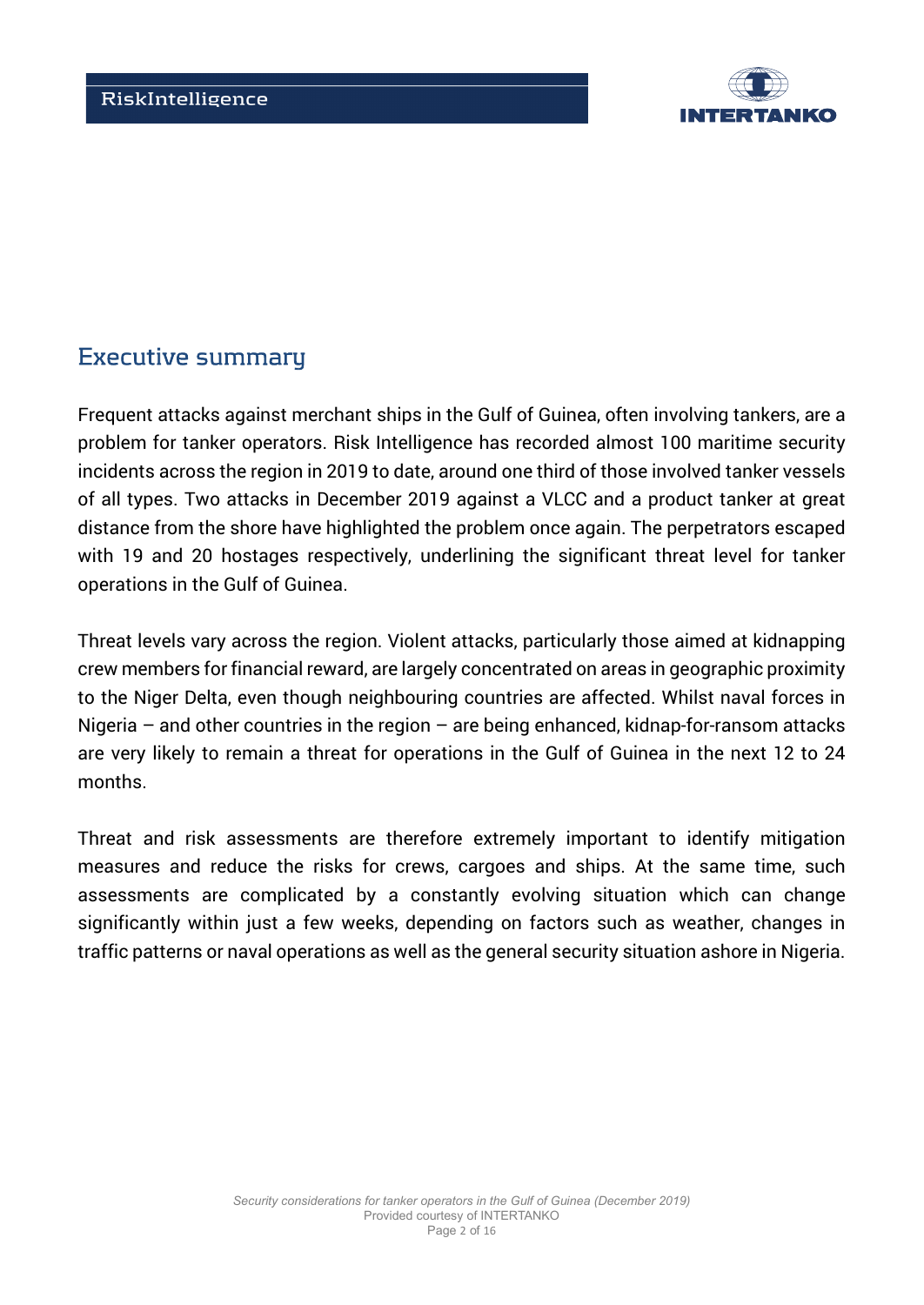

## Executive summary

Frequent attacks against merchant ships in the Gulf of Guinea, often involving tankers, are a problem for tanker operators. Risk Intelligence has recorded almost 100 maritime security incidents across the region in 2019 to date, around one third of those involved tanker vessels of all types. Two attacks in December 2019 against a VLCC and a product tanker at great distance from the shore have highlighted the problem once again. The perpetrators escaped with 19 and 20 hostages respectively, underlining the significant threat level for tanker operations in the Gulf of Guinea.

Threat levels vary across the region. Violent attacks, particularly those aimed at kidnapping crew members for financial reward, are largely concentrated on areas in geographic proximity to the Niger Delta, even though neighbouring countries are affected. Whilst naval forces in Nigeria – and other countries in the region – are being enhanced, kidnap-for-ransom attacks are very likely to remain a threat for operations in the Gulf of Guinea in the next 12 to 24 months.

Threat and risk assessments are therefore extremely important to identify mitigation measures and reduce the risks for crews, cargoes and ships. At the same time, such assessments are complicated by a constantly evolving situation which can change significantly within just a few weeks, depending on factors such as weather, changes in traffic patterns or naval operations as well as the general security situation ashore in Nigeria.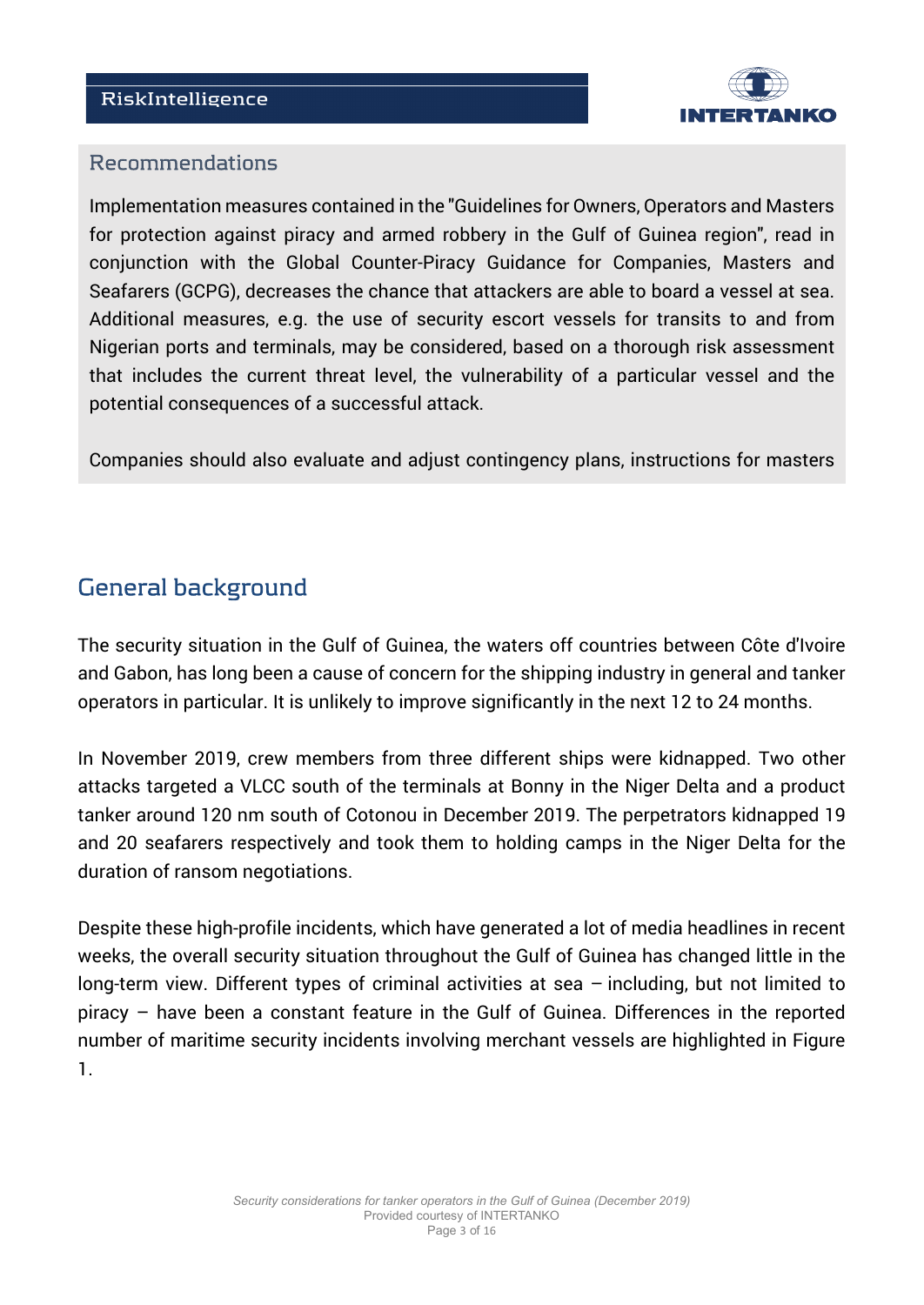

#### Recommendations

Implementation measures contained in the "Guidelines for Owners, Operators and Masters for protection against piracy and armed robbery in the Gulf of Guinea region", read in conjunction with the Global Counter-Piracy Guidance for Companies, Masters and Seafarers (GCPG), decreases the chance that attackers are able to board a vessel at sea. Additional measures, e.g. the use of security escort vessels for transits to and from Nigerian ports and terminals, may be considered, based on a thorough risk assessment that includes the current threat level, the vulnerability of a particular vessel and the potential consequences of a successful attack.

Companies should also evaluate and adjust contingency plans, instructions for masters

# General background

The security situation in the Gulf of Guinea, the waters off countries between Côte d'Ivoire and Gabon, has long been a cause of concern for the shipping industry in general and tanker operators in particular. It is unlikely to improve significantly in the next 12 to 24 months.

In November 2019, crew members from three different ships were kidnapped. Two other attacks targeted a VLCC south of the terminals at Bonny in the Niger Delta and a product tanker around 120 nm south of Cotonou in December 2019. The perpetrators kidnapped 19 and 20 seafarers respectively and took them to holding camps in the Niger Delta for the duration of ransom negotiations.

Despite these high-profile incidents, which have generated a lot of media headlines in recent weeks, the overall security situation throughout the Gulf of Guinea has changed little in the long-term view. Different types of criminal activities at sea – including, but not limited to piracy – have been a constant feature in the Gulf of Guinea. Differences in the reported number of maritime security incidents involving merchant vessels are highlighted in Figure 1.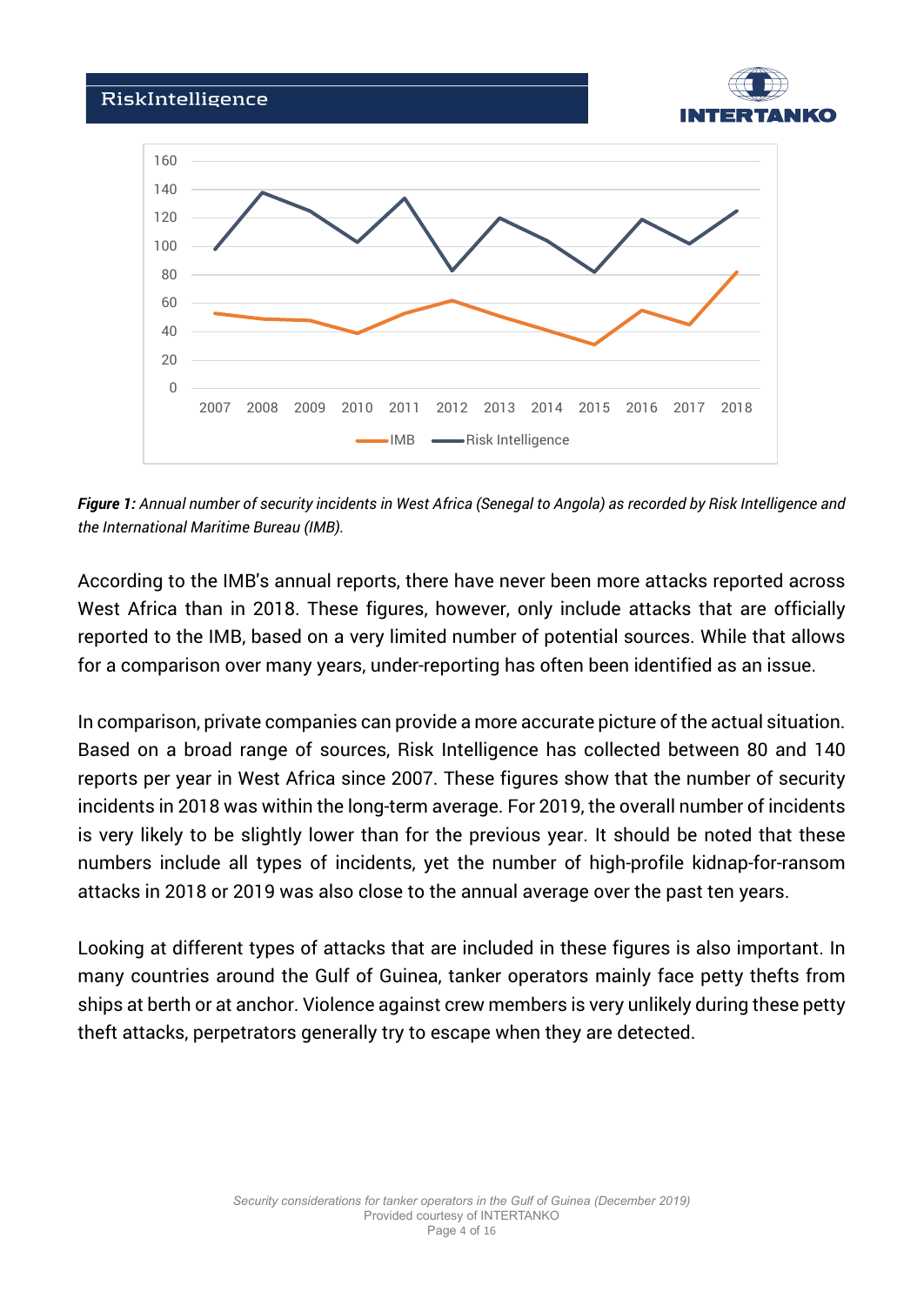

*Figure 1: Annual number of security incidents in West Africa (Senegal to Angola) as recorded by Risk Intelligence and the International Maritime Bureau (IMB).*

According to the IMB's annual reports, there have never been more attacks reported across West Africa than in 2018. These figures, however, only include attacks that are officially reported to the IMB, based on a very limited number of potential sources. While that allows for a comparison over many years, under-reporting has often been identified as an issue.

In comparison, private companies can provide a more accurate picture of the actual situation. Based on a broad range of sources, Risk Intelligence has collected between 80 and 140 reports per year in West Africa since 2007. These figures show that the number of security incidents in 2018 was within the long-term average. For 2019, the overall number of incidents is very likely to be slightly lower than for the previous year. It should be noted that these numbers include all types of incidents, yet the number of high-profile kidnap-for-ransom attacks in 2018 or 2019 was also close to the annual average over the past ten years.

Looking at different types of attacks that are included in these figures is also important. In many countries around the Gulf of Guinea, tanker operators mainly face petty thefts from ships at berth or at anchor. Violence against crew members is very unlikely during these petty theft attacks, perpetrators generally try to escape when they are detected.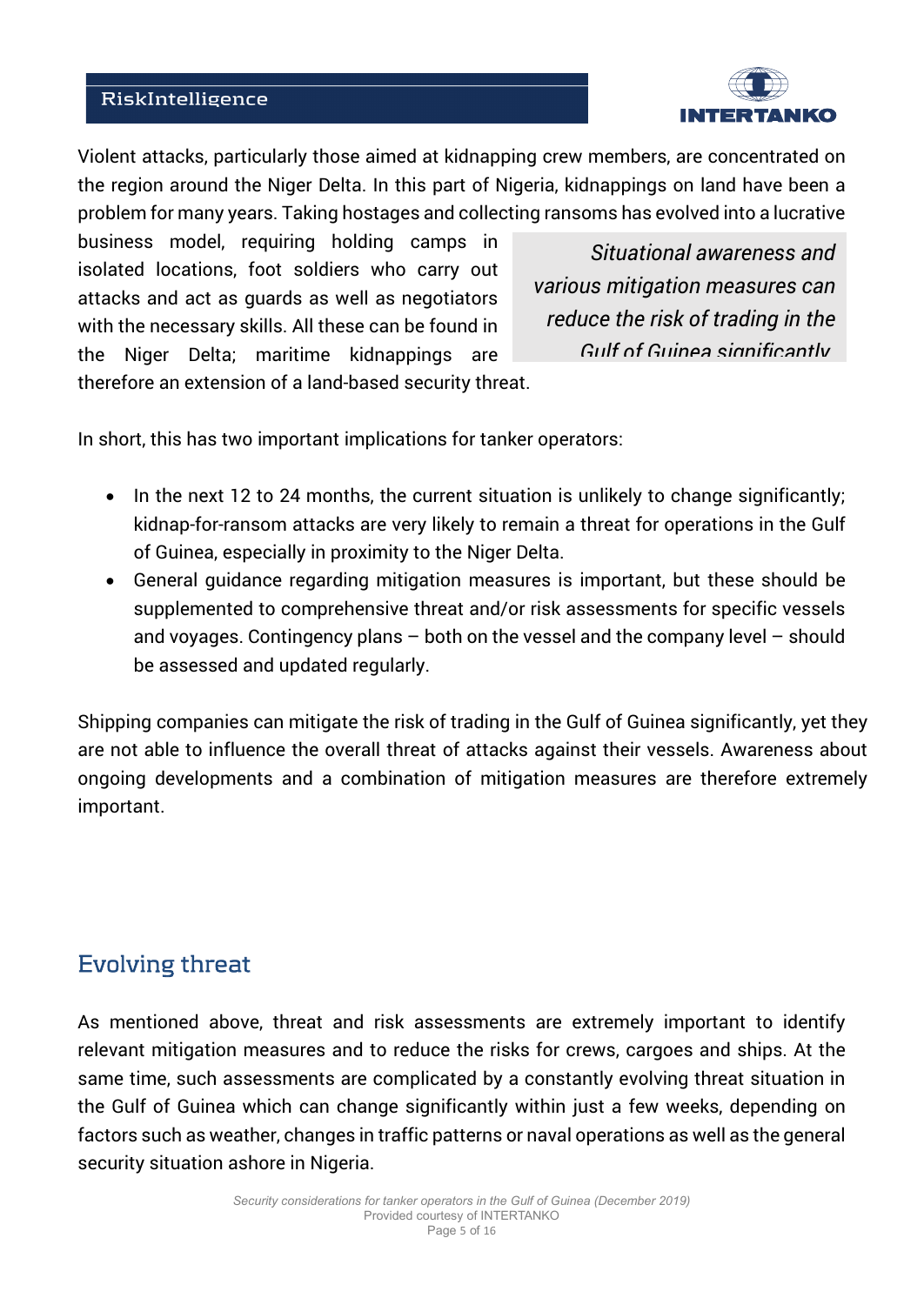

Violent attacks, particularly those aimed at kidnapping crew members, are concentrated on the region around the Niger Delta. In this part of Nigeria, kidnappings on land have been a problem for many years. Taking hostages and collecting ransoms has evolved into a lucrative

business model, requiring holding camps in isolated locations, foot soldiers who carry out attacks and act as guards as well as negotiators with the necessary skills. All these can be found in the Niger Delta; maritime kidnappings are therefore an extension of a land-based security threat.

*Situational awareness and various mitigation measures can reduce the risk of trading in the Gulf of Guinea significantly*

In short, this has two important implications for tanker operators:

- In the next 12 to 24 months, the current situation is unlikely to change significantly; kidnap-for-ransom attacks are very likely to remain a threat for operations in the Gulf of Guinea, especially in proximity to the Niger Delta.
- General guidance regarding mitigation measures is important, but these should be supplemented to comprehensive threat and/or risk assessments for specific vessels and voyages. Contingency plans – both on the vessel and the company level – should be assessed and updated regularly.

Shipping companies can mitigate the risk of trading in the Gulf of Guinea significantly, yet they are not able to influence the overall threat of attacks against their vessels. Awareness about ongoing developments and a combination of mitigation measures are therefore extremely important.

## Evolving threat

As mentioned above, threat and risk assessments are extremely important to identify relevant mitigation measures and to reduce the risks for crews, cargoes and ships. At the same time, such assessments are complicated by a constantly evolving threat situation in the Gulf of Guinea which can change significantly within just a few weeks, depending on factors such as weather, changes in traffic patterns or naval operations as well as the general security situation ashore in Nigeria.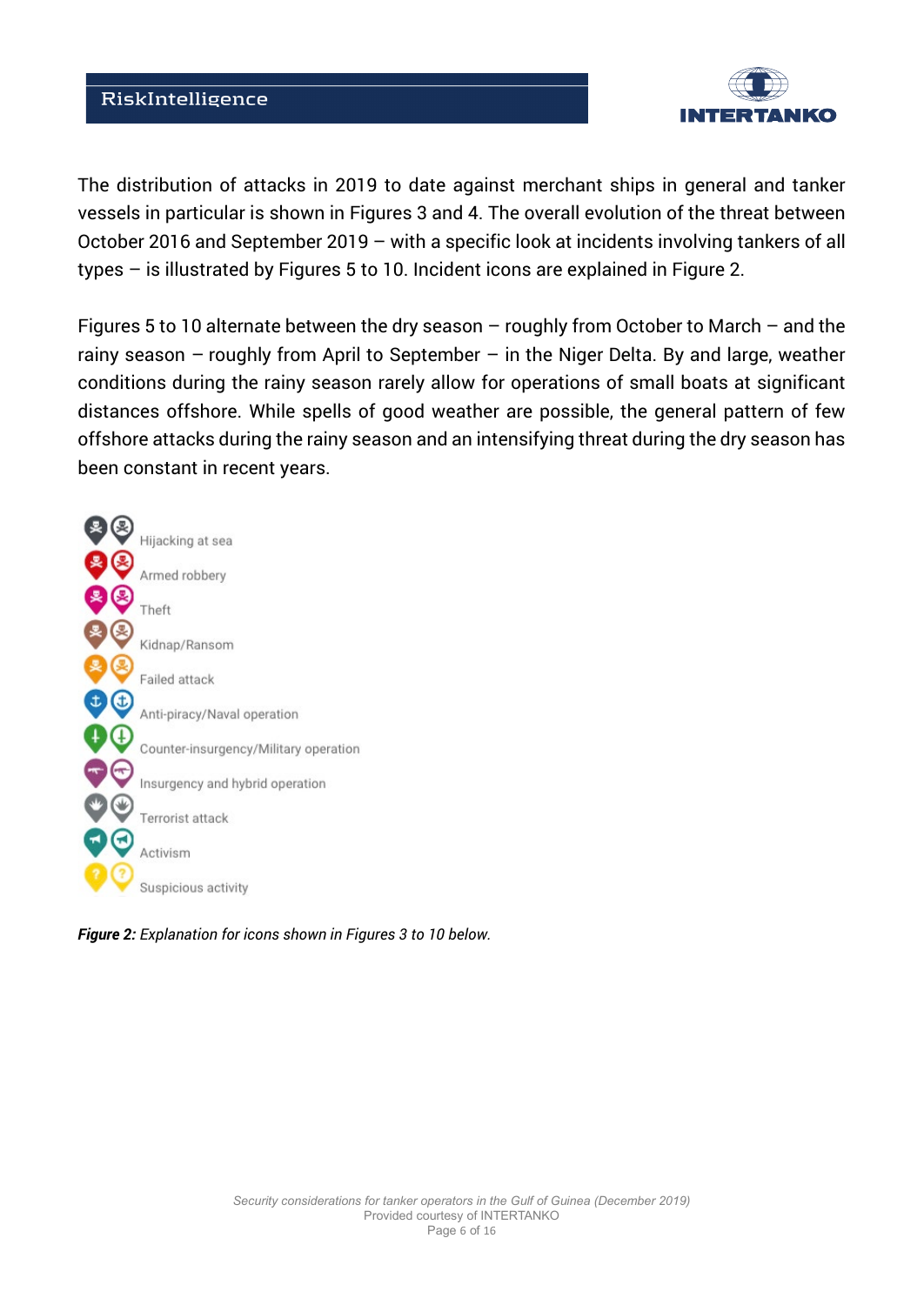

The distribution of attacks in 2019 to date against merchant ships in general and tanker vessels in particular is shown in Figures 3 and 4. The overall evolution of the threat between October 2016 and September 2019 – with a specific look at incidents involving tankers of all types – is illustrated by Figures 5 to 10. Incident icons are explained in Figure 2.

Figures 5 to 10 alternate between the dry season – roughly from October to March – and the rainy season  $-$  roughly from April to September  $-$  in the Niger Delta. By and large, weather conditions during the rainy season rarely allow for operations of small boats at significant distances offshore. While spells of good weather are possible, the general pattern of few offshore attacks during the rainy season and an intensifying threat during the dry season has been constant in recent years.



*Figure 2: Explanation for icons shown in Figures 3 to 10 below.*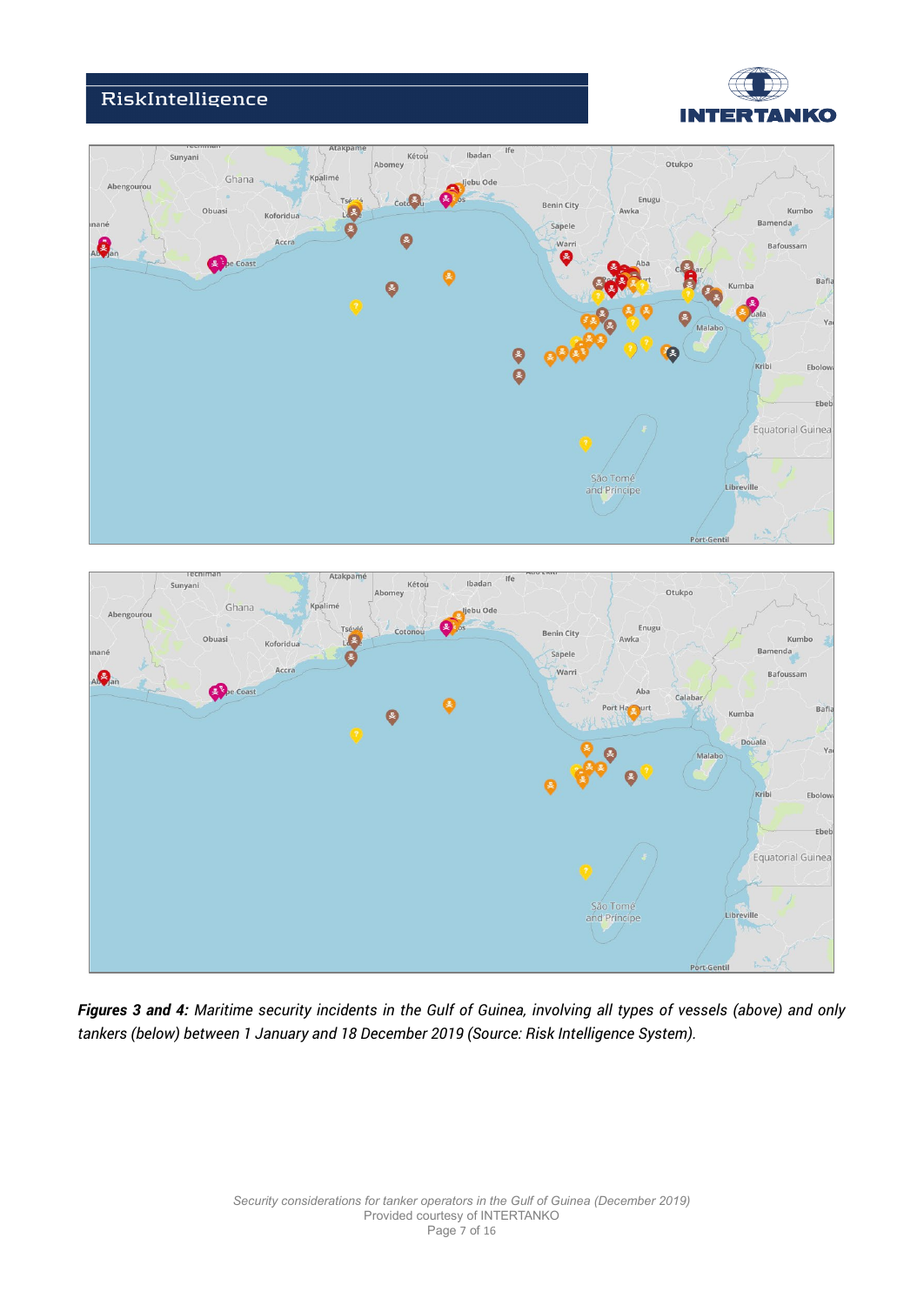





*Figures 3 and 4: Maritime security incidents in the Gulf of Guinea, involving all types of vessels (above) and only tankers (below) between 1 January and 18 December 2019 (Source: Risk Intelligence System).*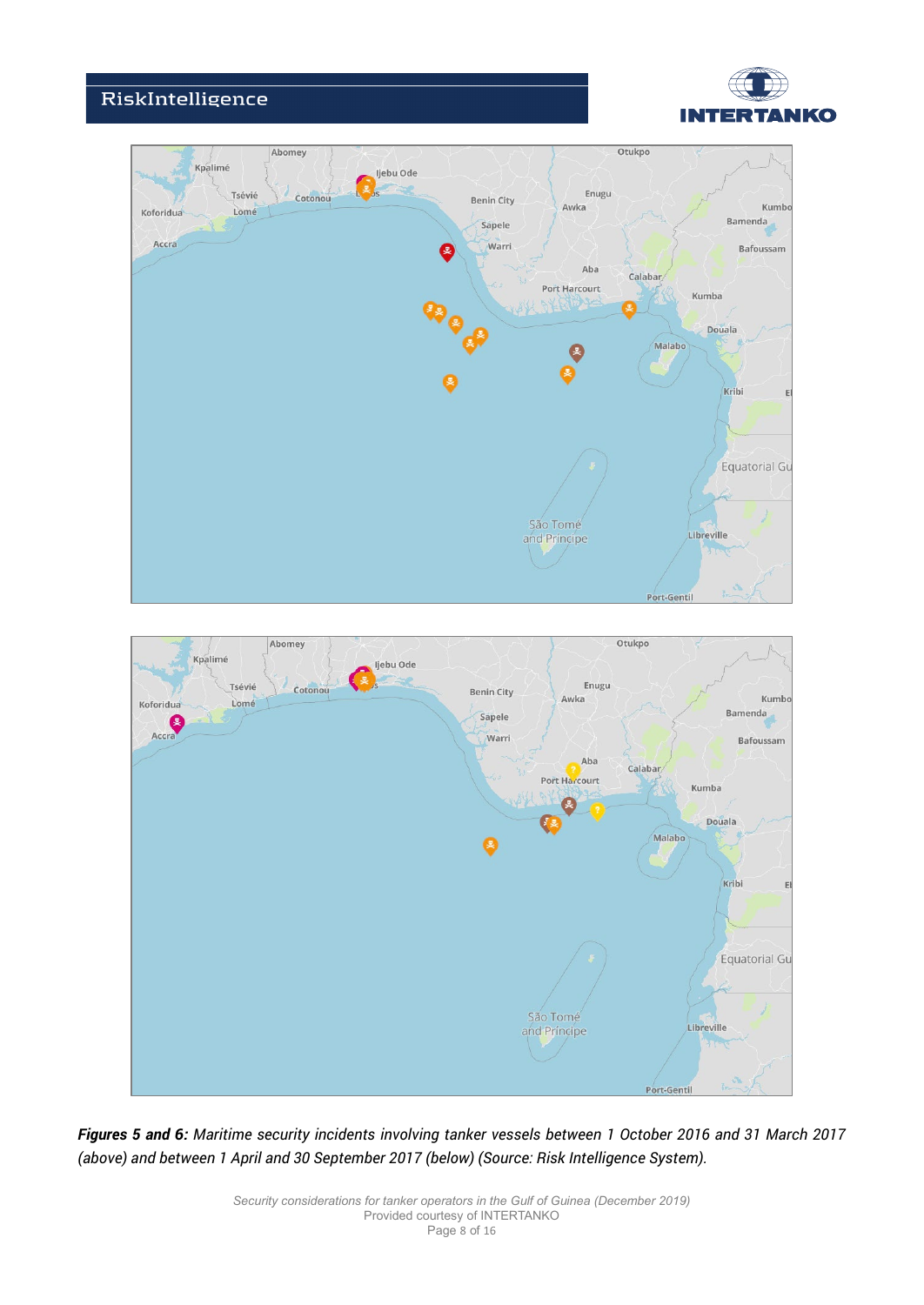





*Figures 5 and 6: Maritime security incidents involving tanker vessels between 1 October 2016 and 31 March 2017 (above) and between 1 April and 30 September 2017 (below) (Source: Risk Intelligence System).*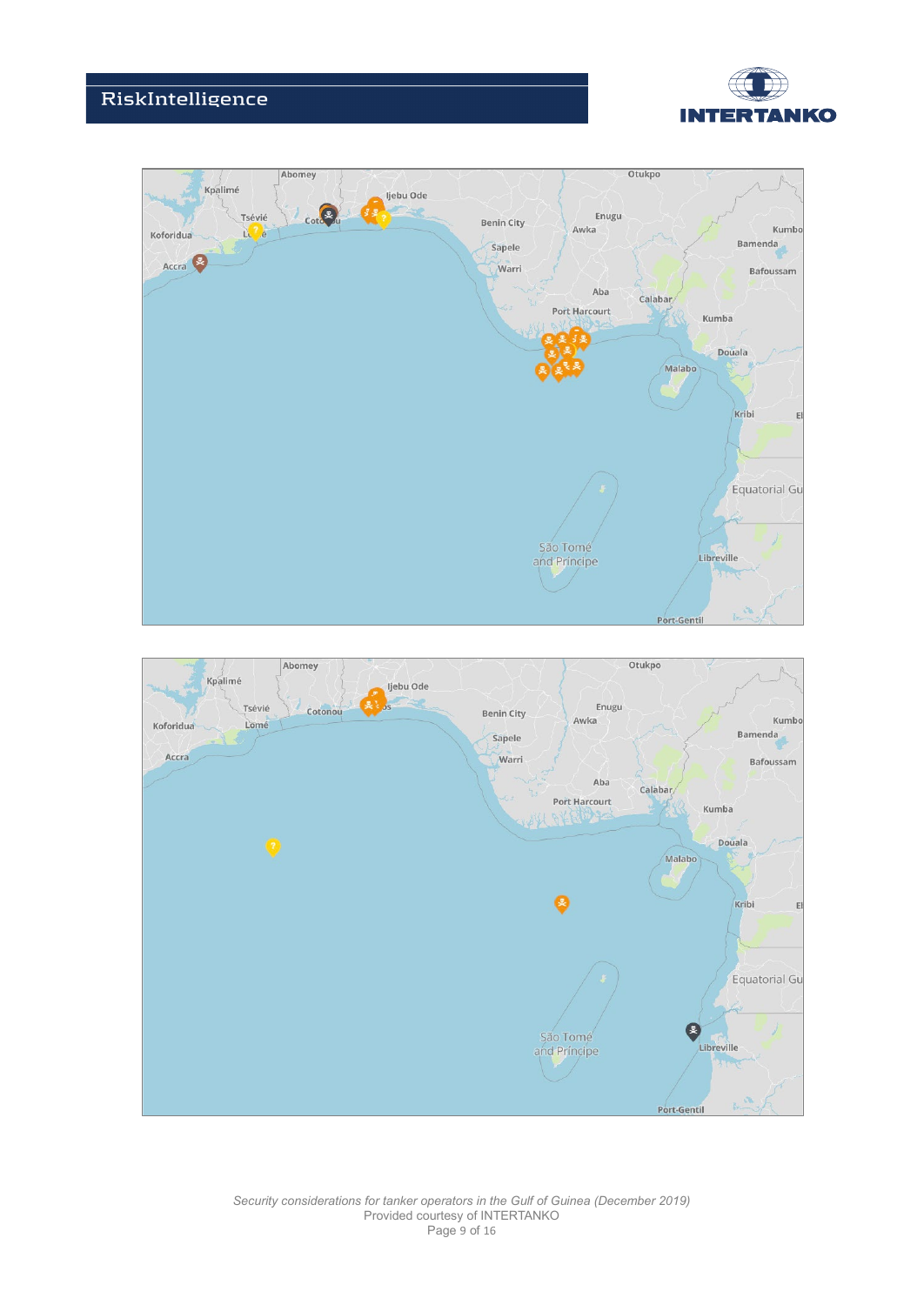





*Security considerations for tanker operators in the Gulf of Guinea (December 2019)* Provided courtesy of INTERTANKO Page 9 of 16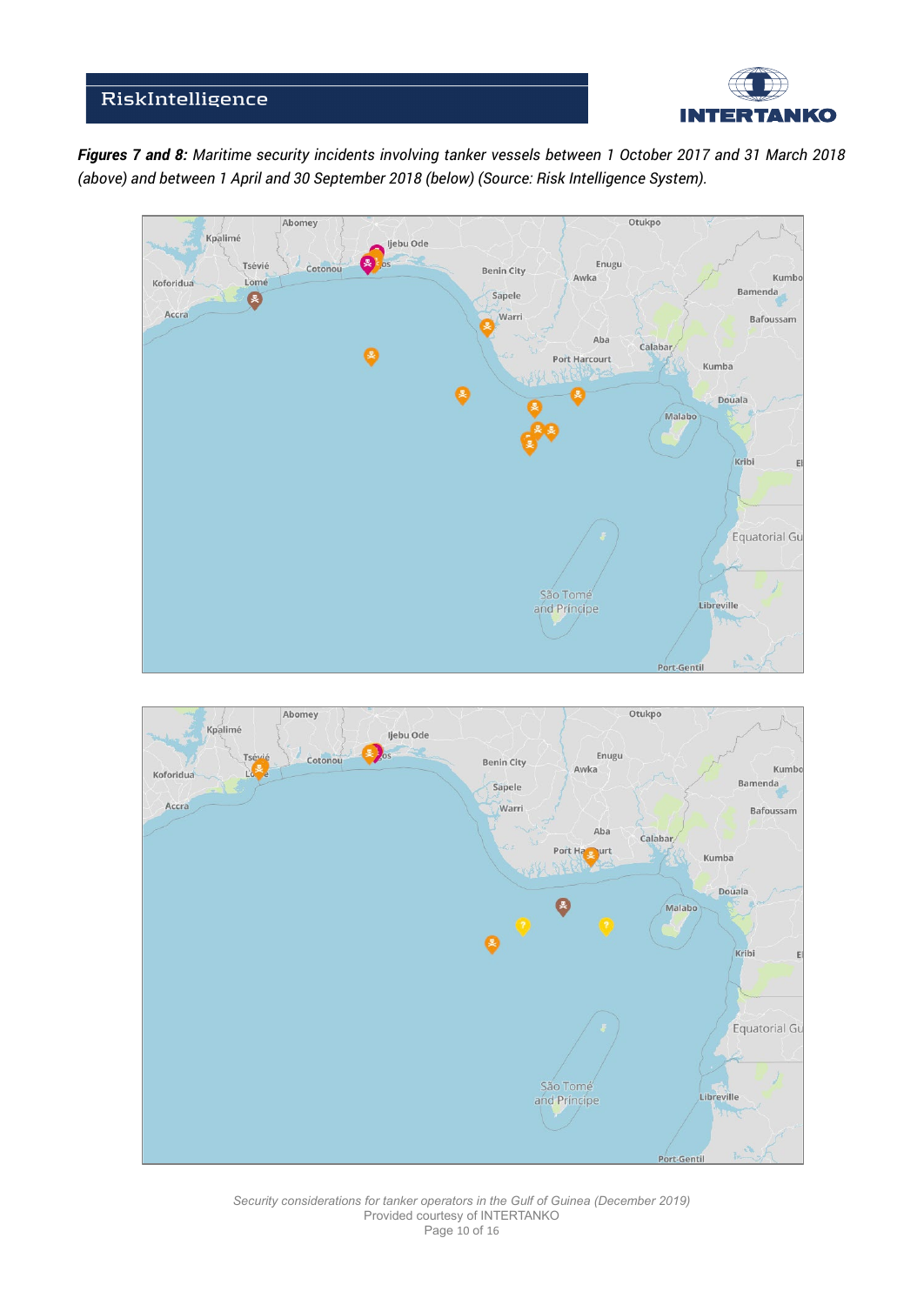

*Figures 7 and 8: Maritime security incidents involving tanker vessels between 1 October 2017 and 31 March 2018 (above) and between 1 April and 30 September 2018 (below) (Source: Risk Intelligence System).*





*Security considerations for tanker operators in the Gulf of Guinea (December 2019)* Provided courtesy of INTERTANKO Page 10 of 16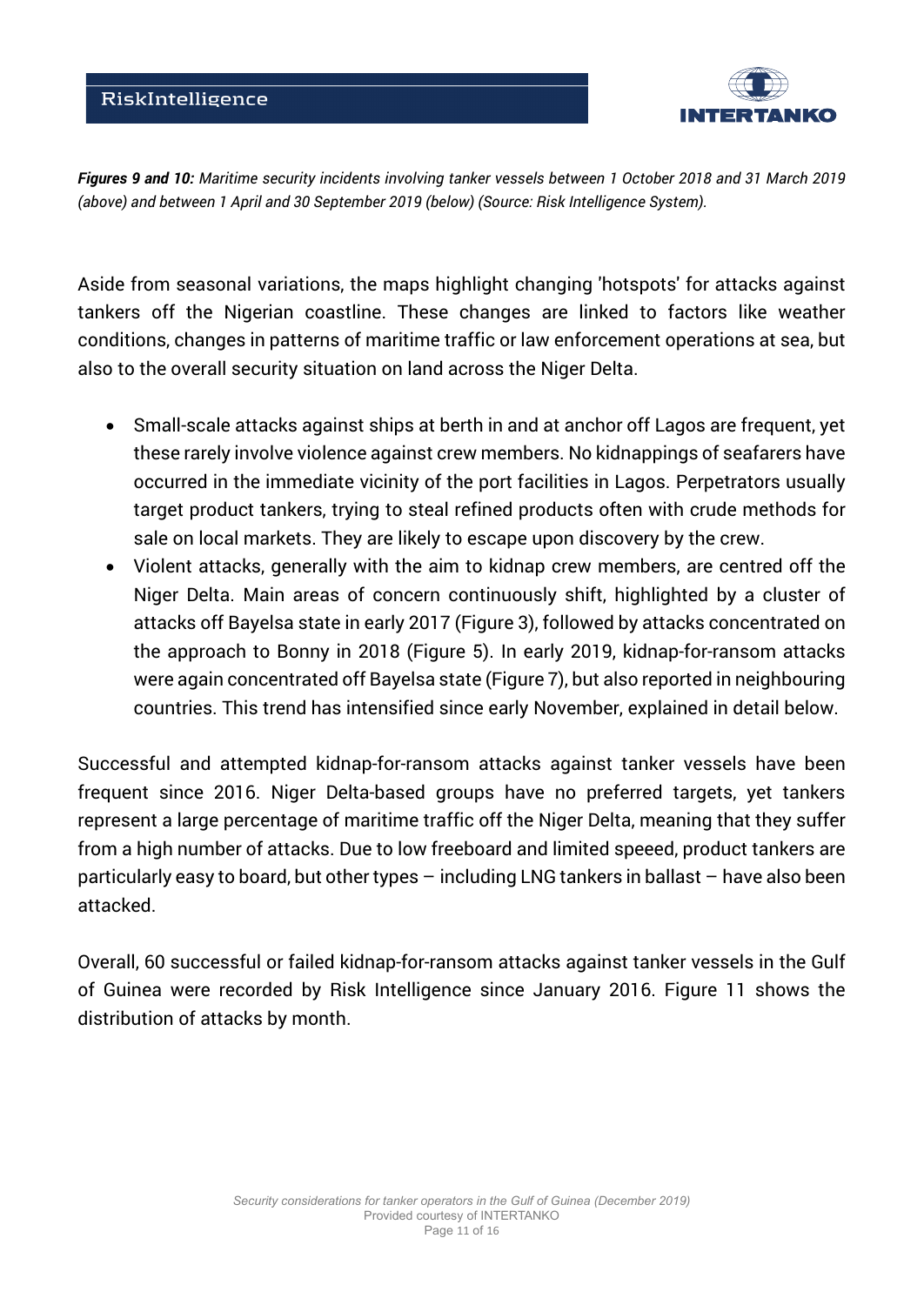

*Figures 9 and 10: Maritime security incidents involving tanker vessels between 1 October 2018 and 31 March 2019 (above) and between 1 April and 30 September 2019 (below) (Source: Risk Intelligence System).*

Aside from seasonal variations, the maps highlight changing 'hotspots' for attacks against tankers off the Nigerian coastline. These changes are linked to factors like weather conditions, changes in patterns of maritime traffic or law enforcement operations at sea, but also to the overall security situation on land across the Niger Delta.

- Small-scale attacks against ships at berth in and at anchor off Lagos are frequent, yet these rarely involve violence against crew members. No kidnappings of seafarers have occurred in the immediate vicinity of the port facilities in Lagos. Perpetrators usually target product tankers, trying to steal refined products often with crude methods for sale on local markets. They are likely to escape upon discovery by the crew.
- Violent attacks, generally with the aim to kidnap crew members, are centred off the Niger Delta. Main areas of concern continuously shift, highlighted by a cluster of attacks off Bayelsa state in early 2017 (Figure 3), followed by attacks concentrated on the approach to Bonny in 2018 (Figure 5). In early 2019, kidnap-for-ransom attacks were again concentrated off Bayelsa state (Figure 7), but also reported in neighbouring countries. This trend has intensified since early November, explained in detail below.

Successful and attempted kidnap-for-ransom attacks against tanker vessels have been frequent since 2016. Niger Delta-based groups have no preferred targets, yet tankers represent a large percentage of maritime traffic off the Niger Delta, meaning that they suffer from a high number of attacks. Due to low freeboard and limited speeed, product tankers are particularly easy to board, but other types – including LNG tankers in ballast – have also been attacked.

Overall, 60 successful or failed kidnap-for-ransom attacks against tanker vessels in the Gulf of Guinea were recorded by Risk Intelligence since January 2016. Figure 11 shows the distribution of attacks by month.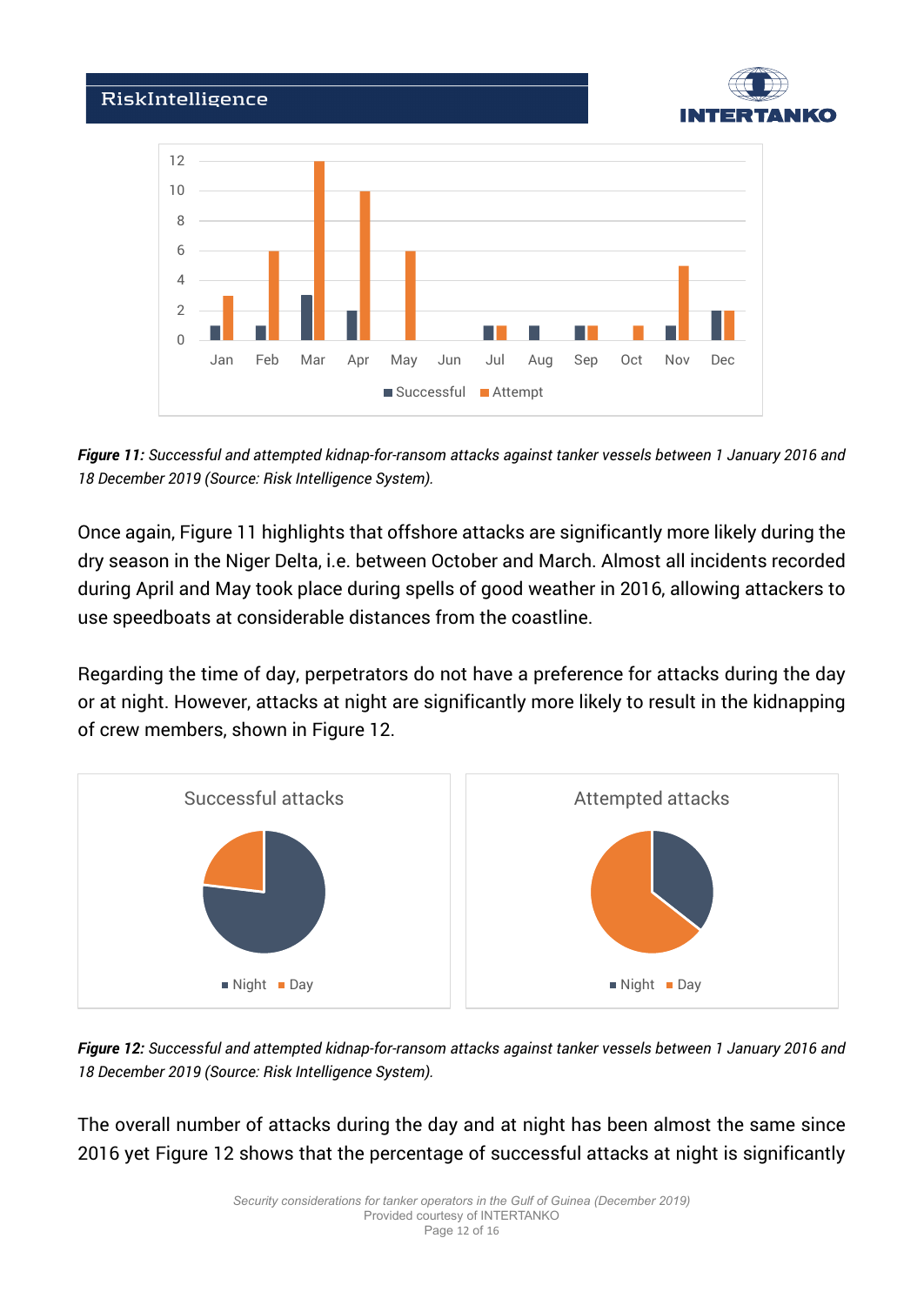



*Figure 11: Successful and attempted kidnap-for-ransom attacks against tanker vessels between 1 January 2016 and 18 December 2019 (Source: Risk Intelligence System).*

Once again, Figure 11 highlights that offshore attacks are significantly more likely during the dry season in the Niger Delta, i.e. between October and March. Almost all incidents recorded during April and May took place during spells of good weather in 2016, allowing attackers to use speedboats at considerable distances from the coastline.

Regarding the time of day, perpetrators do not have a preference for attacks during the day or at night. However, attacks at night are significantly more likely to result in the kidnapping of crew members, shown in Figure 12.



*Figure 12: Successful and attempted kidnap-for-ransom attacks against tanker vessels between 1 January 2016 and 18 December 2019 (Source: Risk Intelligence System).*

The overall number of attacks during the day and at night has been almost the same since 2016 yet Figure 12 shows that the percentage of successful attacks at night is significantly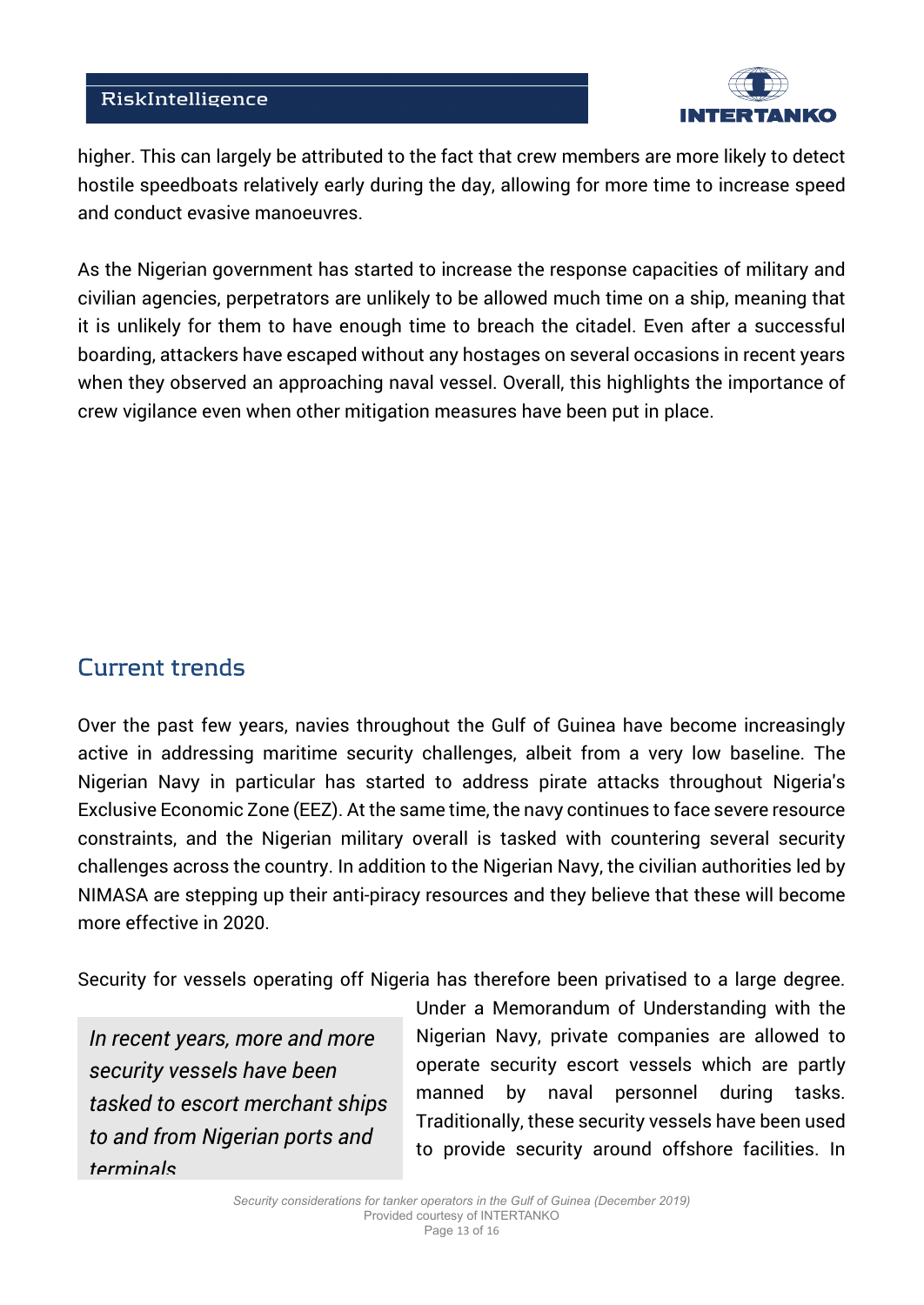

higher. This can largely be attributed to the fact that crew members are more likely to detect hostile speedboats relatively early during the day, allowing for more time to increase speed and conduct evasive manoeuvres.

As the Nigerian government has started to increase the response capacities of military and civilian agencies, perpetrators are unlikely to be allowed much time on a ship, meaning that it is unlikely for them to have enough time to breach the citadel. Even after a successful boarding, attackers have escaped without any hostages on several occasions in recent years when they observed an approaching naval vessel. Overall, this highlights the importance of crew vigilance even when other mitigation measures have been put in place.

## Current trends

Over the past few years, navies throughout the Gulf of Guinea have become increasingly active in addressing maritime security challenges, albeit from a very low baseline. The Nigerian Navy in particular has started to address pirate attacks throughout Nigeria's Exclusive Economic Zone (EEZ). At the same time, the navy continues to face severe resource constraints, and the Nigerian military overall is tasked with countering several security challenges across the country. In addition to the Nigerian Navy, the civilian authorities led by NIMASA are stepping up their anti-piracy resources and they believe that these will become more effective in 2020.

Security for vessels operating off Nigeria has therefore been privatised to a large degree.

*In recent years, more and more security vessels have been tasked to escort merchant ships to and from Nigerian ports and terminals*

Under a Memorandum of Understanding with the Nigerian Navy, private companies are allowed to operate security escort vessels which are partly manned by naval personnel during tasks. Traditionally, these security vessels have been used to provide security around offshore facilities. In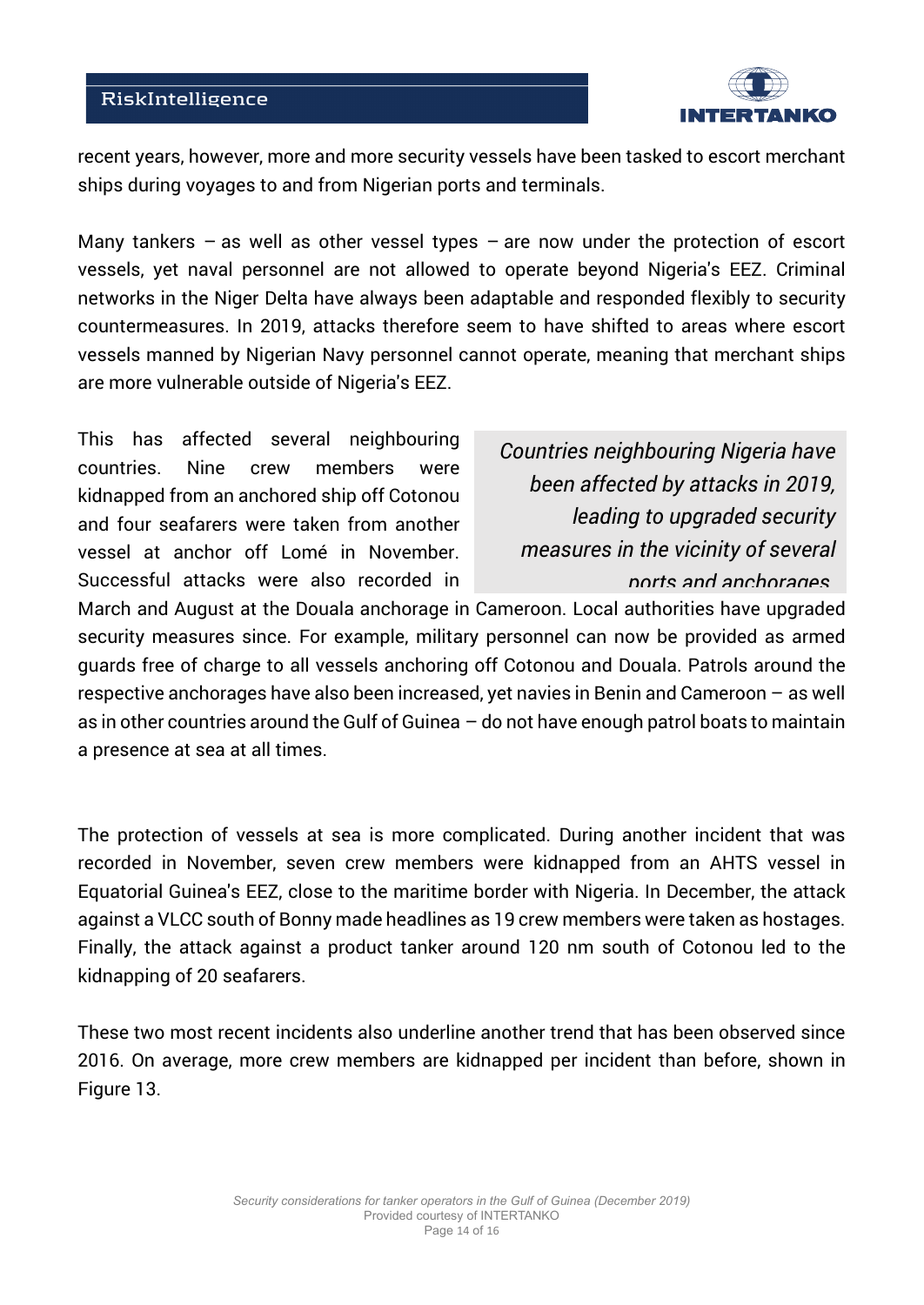

recent years, however, more and more security vessels have been tasked to escort merchant ships during voyages to and from Nigerian ports and terminals.

Many tankers – as well as other vessel types – are now under the protection of escort vessels, yet naval personnel are not allowed to operate beyond Nigeria's EEZ. Criminal networks in the Niger Delta have always been adaptable and responded flexibly to security countermeasures. In 2019, attacks therefore seem to have shifted to areas where escort vessels manned by Nigerian Navy personnel cannot operate, meaning that merchant ships are more vulnerable outside of Nigeria's EEZ.

This has affected several neighbouring countries. Nine crew members were kidnapped from an anchored ship off Cotonou and four seafarers were taken from another vessel at anchor off Lomé in November. Successful attacks were also recorded in

*Countries neighbouring Nigeria have been affected by attacks in 2019, leading to upgraded security measures in the vicinity of several ports and anchorages*

March and August at the Douala anchorage in Cameroon. Local authorities have upgraded security measures since. For example, military personnel can now be provided as armed guards free of charge to all vessels anchoring off Cotonou and Douala. Patrols around the respective anchorages have also been increased, yet navies in Benin and Cameroon – as well as in other countries around the Gulf of Guinea – do not have enough patrol boats to maintain a presence at sea at all times.

The protection of vessels at sea is more complicated. During another incident that was recorded in November, seven crew members were kidnapped from an AHTS vessel in Equatorial Guinea's EEZ, close to the maritime border with Nigeria. In December, the attack against a VLCC south of Bonny made headlines as 19 crew members were taken as hostages. Finally, the attack against a product tanker around 120 nm south of Cotonou led to the kidnapping of 20 seafarers.

These two most recent incidents also underline another trend that has been observed since 2016. On average, more crew members are kidnapped per incident than before, shown in Figure 13.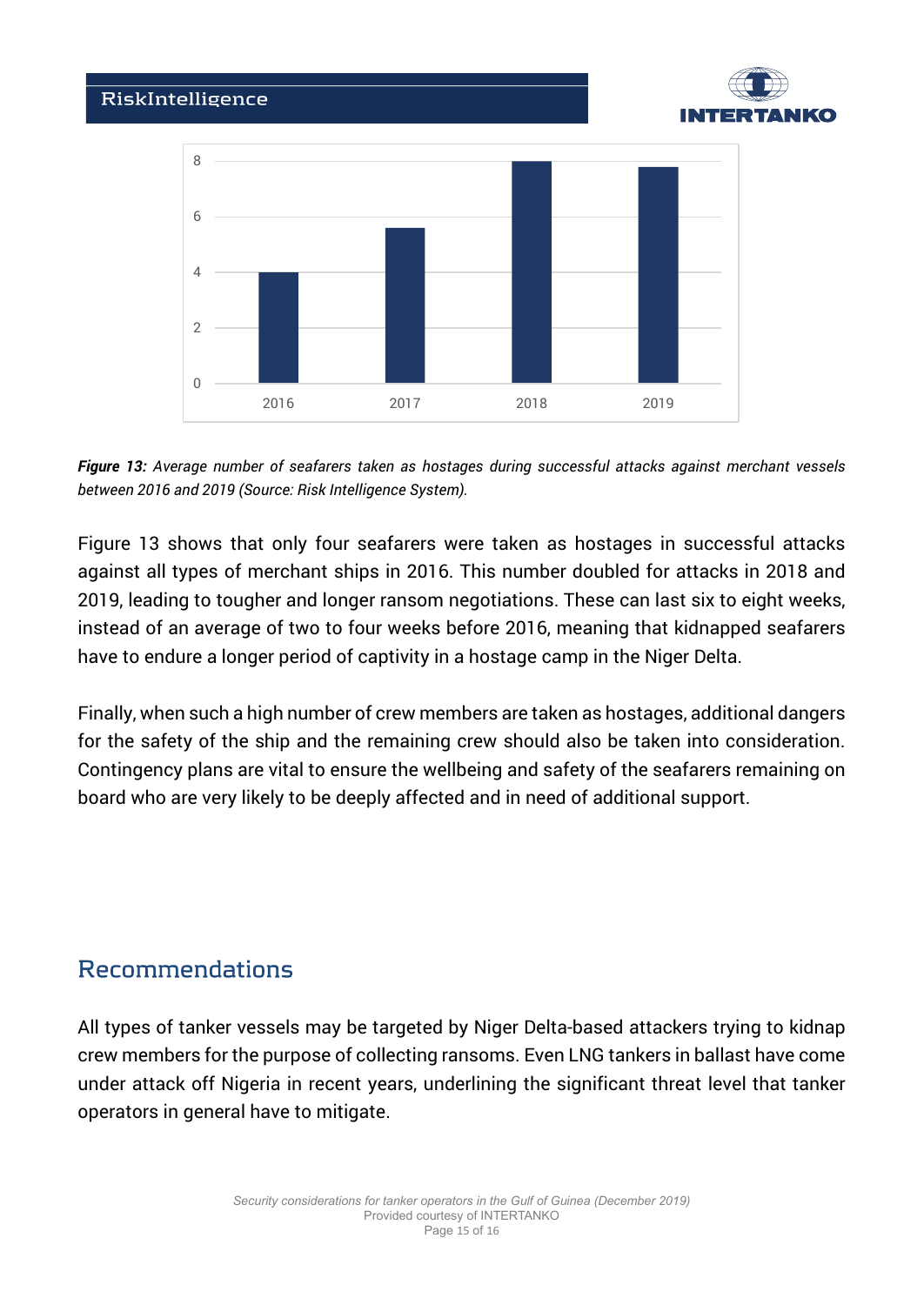

*Figure 13: Average number of seafarers taken as hostages during successful attacks against merchant vessels between 2016 and 2019 (Source: Risk Intelligence System).*

Figure 13 shows that only four seafarers were taken as hostages in successful attacks against all types of merchant ships in 2016. This number doubled for attacks in 2018 and 2019, leading to tougher and longer ransom negotiations. These can last six to eight weeks, instead of an average of two to four weeks before 2016, meaning that kidnapped seafarers have to endure a longer period of captivity in a hostage camp in the Niger Delta.

Finally, when such a high number of crew members are taken as hostages, additional dangers for the safety of the ship and the remaining crew should also be taken into consideration. Contingency plans are vital to ensure the wellbeing and safety of the seafarers remaining on board who are very likely to be deeply affected and in need of additional support.

# Recommendations

All types of tanker vessels may be targeted by Niger Delta-based attackers trying to kidnap crew members for the purpose of collecting ransoms. Even LNG tankers in ballast have come under attack off Nigeria in recent years, underlining the significant threat level that tanker operators in general have to mitigate.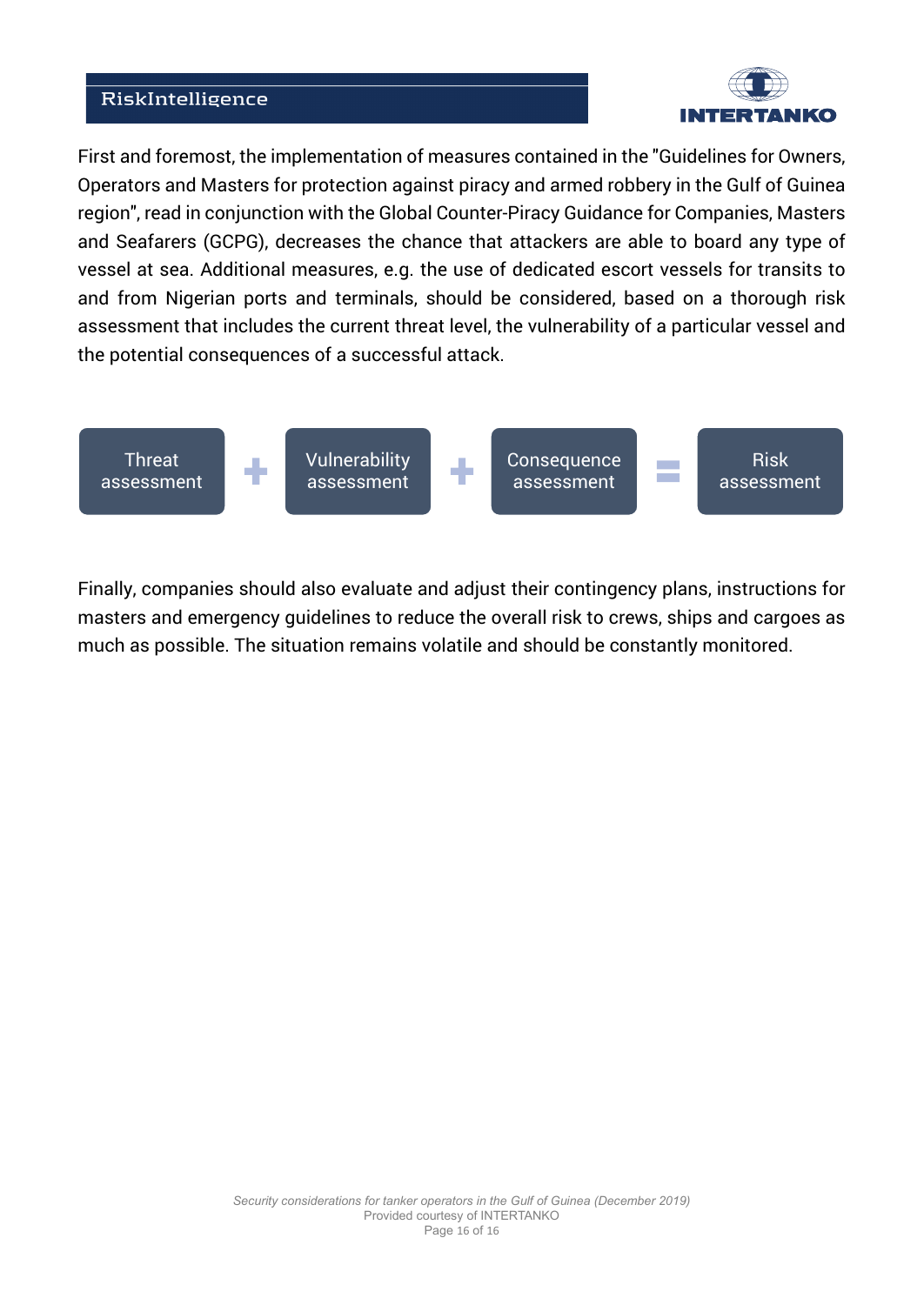

First and foremost, the implementation of measures contained in the "Guidelines for Owners, Operators and Masters for protection against piracy and armed robbery in the Gulf of Guinea region", read in conjunction with the Global Counter-Piracy Guidance for Companies, Masters and Seafarers (GCPG), decreases the chance that attackers are able to board any type of vessel at sea. Additional measures, e.g. the use of dedicated escort vessels for transits to and from Nigerian ports and terminals, should be considered, based on a thorough risk assessment that includes the current threat level, the vulnerability of a particular vessel and the potential consequences of a successful attack.



Finally, companies should also evaluate and adjust their contingency plans, instructions for masters and emergency guidelines to reduce the overall risk to crews, ships and cargoes as much as possible. The situation remains volatile and should be constantly monitored.